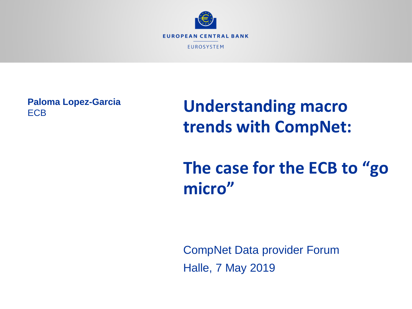

**Paloma Lopez-Garcia ECB** 

**Understanding macro trends with CompNet:** 

**The case for the ECB to "go micro"**

CompNet Data provider Forum Halle, 7 May 2019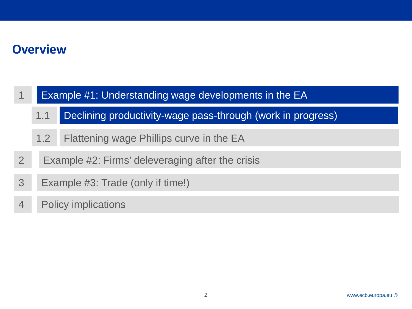### **Overview**

|                | <b>Example #1: Understanding wage developments in the EA</b>       |                                                  |  |  |  |
|----------------|--------------------------------------------------------------------|--------------------------------------------------|--|--|--|
|                | Declining productivity-wage pass-through (work in progress)<br>1.1 |                                                  |  |  |  |
|                | 1.2                                                                | Flattening wage Phillips curve in the EA         |  |  |  |
| $\overline{2}$ |                                                                    | Example #2: Firms' deleveraging after the crisis |  |  |  |
| 3              | Example #3: Trade (only if time!)                                  |                                                  |  |  |  |
|                | <b>Policy implications</b>                                         |                                                  |  |  |  |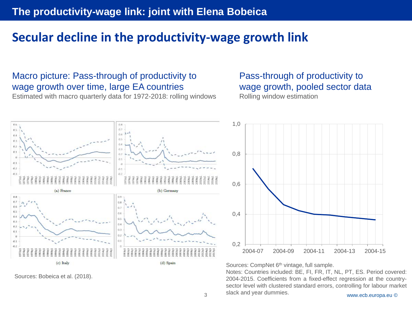#### **The productivity-wage link: joint with Elena Bobeica**

### **Secular decline in the productivity-wage growth link**

#### Macro picture: Pass-through of productivity to wage growth over time, large EA countries

Estimated with macro quarterly data for 1972-2018: rolling windows

#### Pass-through of productivity to wage growth, pooled sector data Rolling window estimation



Sources: Bobeica et al. (2018).



Sources: CompNet 6<sup>th</sup> vintage, full sample.

www.ecb.europa.eu © Notes: Countries included: BE, FI, FR, IT, NL, PT, ES. Period covered: 2004-2015. Coefficients from a fixed-effect regression at the countrysector level with clustered standard errors, controlling for labour market slack and year dummies.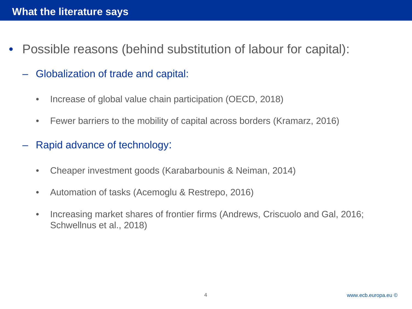- Possible reasons (behind substitution of labour for capital):
	- Globalization of trade and capital:
		- Increase of global value chain participation (OECD, 2018)
		- Fewer barriers to the mobility of capital across borders (Kramarz, 2016)
	- Rapid advance of technology:
		- Cheaper investment goods (Karabarbounis & Neiman, 2014)
		- Automation of tasks (Acemoglu & Restrepo, 2016)
		- Increasing market shares of frontier firms (Andrews, Criscuolo and Gal, 2016; Schwellnus et al., 2018)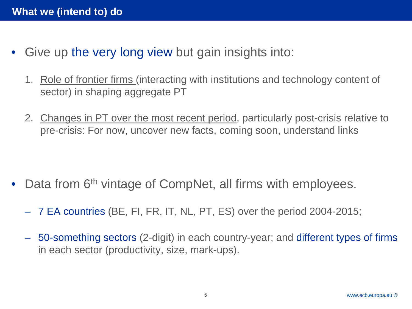- Give up the very long view but gain insights into:
	- 1. Role of frontier firms (interacting with institutions and technology content of sector) in shaping aggregate PT
	- 2. Changes in PT over the most recent period, particularly post-crisis relative to pre-crisis: For now, uncover new facts, coming soon, understand links

- Data from 6<sup>th</sup> vintage of CompNet, all firms with employees.
	- 7 EA countries (BE, FI, FR, IT, NL, PT, ES) over the period 2004-2015;
	- 50-something sectors (2-digit) in each country-year; and different types of firms in each sector (productivity, size, mark-ups).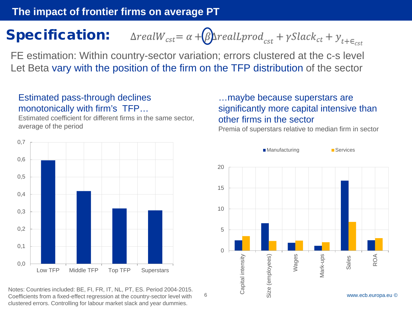# **Specification:**  $\Delta \text{realW}_{cst} = \alpha + \beta \Delta \text{reallyrod}_{cst} + \gamma \text{Slack}_{ct} + y_{t+\epsilon_{cst}}$

FE estimation: Within country-sector variation; errors clustered at the c-s level Let Beta vary with the position of the firm on the TFP distribution of the sector

#### Estimated pass-through declines monotonically with firm's TFP…

Estimated coefficient for different firms in the same sector, average of the period



Notes: Countries included: BE, FI, FR, IT, NL, PT, ES. Period 2004-2015. Coefficients from a fixed-effect regression at the country-sector level with clustered errors. Controlling for labour market slack and year dummies.

#### …maybe because superstars are significantly more capital intensive than other firms in the sector

Premia of superstars relative to median firm in sector

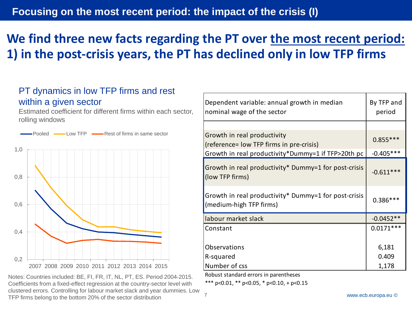# **We find three new facts regarding the PT over the most recent period: 1) in the post-crisis years, the PT has declined only in low TFP firms**

7

#### PT dynamics in low TFP firms and rest within a given sector

Estimated coefficient for different firms within each sector, rolling windows



Notes: Countries included: BE, FI, FR, IT, NL, PT, ES. Period 2004-2015. Coefficients from a fixed-effect regression at the country-sector level with clustered errors. Controlling for labour market slack and year dummies. Low TFP firms belong to the bottom 20% of the sector distribution

| By TFP and<br>period    |
|-------------------------|
|                         |
| $0.855***$              |
| $-0.405***$             |
| $-0.611***$             |
| $0.386***$              |
| $-0.0452**$             |
| $0.0171***$             |
| 6,181<br>0.409<br>1,178 |
|                         |

Robust standard errors in parentheses

\*\*\* p<0.01, \*\* p<0.05, \* p<0.10, + p<0.15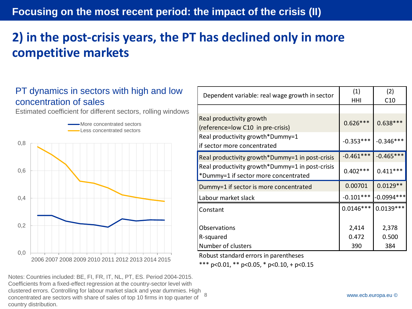# **2) in the post-crisis years, the PT has declined only in more competitive markets**

#### PT dynamics in sectors with high and low concentration of sales

Estimated coefficient for different sectors, rolling windows



8 Notes: Countries included: BE, FI, FR, IT, NL, PT, ES. Period 2004-2015. Coefficients from a fixed-effect regression at the country-sector level with clustered errors. Controlling for labour market slack and year dummies. High concentrated are sectors with share of sales of top 10 firms in top quarter of country distribution.

| Dependent variable: real wage growth in sector                                          | (1)<br>HHI  | (2)<br>C10   |
|-----------------------------------------------------------------------------------------|-------------|--------------|
|                                                                                         |             |              |
| Real productivity growth<br>(reference=low C10 in pre-crisis)                           | $0.626***$  | $0.638***$   |
| Real productivity growth*Dummy=1<br>if sector more concentrated                         | $-0.353***$ | $-0.346***$  |
| Real productivity growth*Dummy=1 in post-crisis                                         | $-0.461***$ | $-0.465***$  |
| Real productivity growth*Dummy=1 in post-crisis<br>*Dummy=1 if sector more concentrated | $0.402***$  | $0.411***$   |
| Dummy=1 if sector is more concentrated                                                  | 0.00701     | $0.0129**$   |
| Labour market slack                                                                     | $-0.101***$ | $-0.0994***$ |
| Constant                                                                                | $0.0146***$ | $0.0139***$  |
| Observations                                                                            | 2,414       | 2,378        |
| R-squared                                                                               | 0.472       | 0.500        |
| Number of clusters                                                                      | 390         | 384          |

Robust standard errors in parentheses

\*\*\* p<0.01, \*\* p<0.05, \* p<0.10, + p<0.15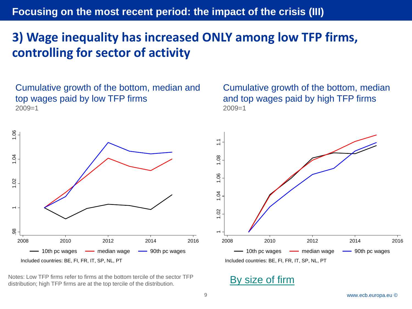### **3) Wage inequality has increased ONLY among low TFP firms, controlling for sector of activity**

Cumulative growth of the bottom, median and top wages paid by low TFP firms 2009=1





Notes: Low TFP firms refer to firms at the bottom tercile of the sector TFP <br>distribution; high TFP firms are at the top tercile of the distribution.

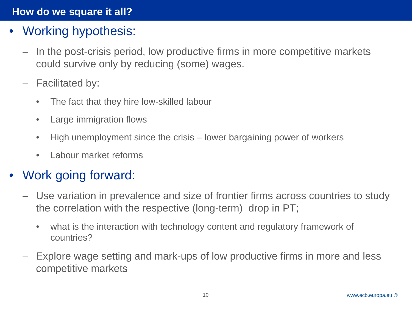### **How do we square it all?**

- Working hypothesis:
	- In the post-crisis period, low productive firms in more competitive markets could survive only by reducing (some) wages.
	- Facilitated by:
		- The fact that they hire low-skilled labour
		- Large immigration flows
		- High unemployment since the crisis lower bargaining power of workers
		- Labour market reforms

### • Work going forward:

- Use variation in prevalence and size of frontier firms across countries to study the correlation with the respective (long-term) drop in PT;
	- what is the interaction with technology content and regulatory framework of countries?
- Explore wage setting and mark-ups of low productive firms in more and less competitive markets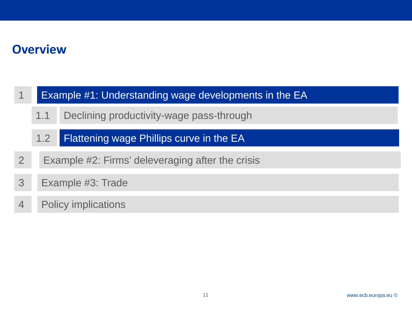### **Overview**

- Example #1: Understanding wage developments in the EA
	- 1.1 Declining productivity-wage pass-through
	- Flattening wage Phillips curve in the EA 1.2
- 2 Example #2: Firms' deleveraging after the crisis
- 3 Example #3: Trade
- 4 Policy implications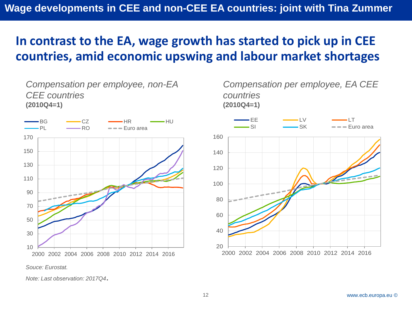### **In contrast to the EA, wage growth has started to pick up in CEE countries, amid economic upswing and labour market shortages**



*Compensation per employee, non-EA* 

*Souce: Eurostat.*

*CEE countries*

*Note: Last observation: 2017Q4*.

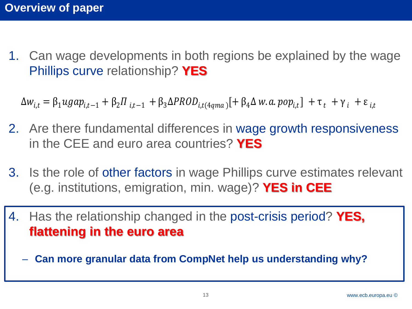1. Can wage developments in both regions be explained by the wage Phillips curve relationship? **YES**

 $\Delta w_{i,t} = \beta_1 u g a p_{i,t-1} + \beta_2 \Pi_{i,t-1} + \beta_3 \Delta PROD_{i,t(4gma)} + \beta_4 \Delta w$ .  $a. pop_{i,t}$  +  $\tau_t$  +  $\gamma_i$  +  $\varepsilon_{i,t}$ 

- 2. Are there fundamental differences in wage growth responsiveness in the CEE and euro area countries? **YES**
- 3. Is the role of other factors in wage Phillips curve estimates relevant (e.g. institutions, emigration, min. wage)? **YES in CEE**
- 4. Has the relationship changed in the post-crisis period? **YES, flattening in the euro area**
	- **Can more granular data from CompNet help us understanding why?**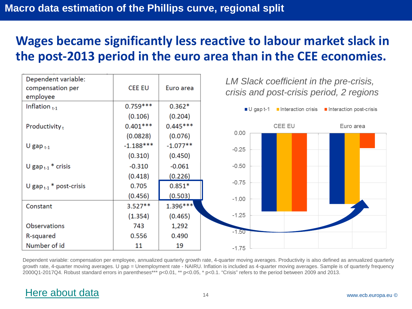### **Wages became significantly less reactive to labour market slack in the post-2013 period in the euro area than in the CEE economies.**

| Dependent variable:<br>compensation per<br>employee | <b>CEE EU</b> | Euro area  | LM Slack coefficient in the pre-crisis,<br>crisis and post-crisis period, 2 regions   |  |  |
|-----------------------------------------------------|---------------|------------|---------------------------------------------------------------------------------------|--|--|
| Inflation $t-1$                                     | $0.759***$    | $0.362*$   | $\blacksquare$ U gap t-1 $\blacksquare$ Interaction crisis<br>Interaction post-crisis |  |  |
|                                                     | (0.106)       | (0.204)    |                                                                                       |  |  |
| Productivity <sub>t</sub>                           | $0.401***$    | $0.445***$ | CEE EU<br>Euro area                                                                   |  |  |
|                                                     | (0.0828)      | (0.076)    | 0.00                                                                                  |  |  |
| U gap $_{t-1}$                                      | $-1.188***$   | $-1.077**$ | $-0.25$                                                                               |  |  |
|                                                     | (0.310)       | (0.450)    |                                                                                       |  |  |
| U gap $_{t-1}$ * crisis                             | $-0.310$      | $-0.061$   | $-0.50$                                                                               |  |  |
|                                                     | (0.418)       | (0.226)    |                                                                                       |  |  |
| U gap $_{t-1}$ * post-crisis                        | 0.705         | $0.851*$   | $-0.75$                                                                               |  |  |
|                                                     | (0.456)       | (0.503)    | $-1.00$                                                                               |  |  |
| Constant                                            | $3.527**$     | 1.396***   |                                                                                       |  |  |
|                                                     | (1.354)       | (0.465)    | $-1.25$                                                                               |  |  |
| Observations                                        | 743           | 1,292      | $-1.50$                                                                               |  |  |
| R-squared                                           | 0.556         | 0.490      |                                                                                       |  |  |
| Number of id                                        | 11            | 19         | $-1.75$                                                                               |  |  |

Dependent variable: compensation per employee, annualized quarterly growth rate, 4-quarter moving averages. Productivity is also defined as annualized quarterly growth rate, 4-quarter moving averages. U gap = Unemployment rate - NAIRU. Inflation is included as 4-quarter moving averages. Sample is of quarterly frequency 2000Q1-2017Q4. Robust standard errors in parentheses\*\*\* p<0.01, \*\* p<0.05, \* p<0.1. "Crisis" refers to the period between 2009 and 2013.

#### [Here about data](#page-33-0)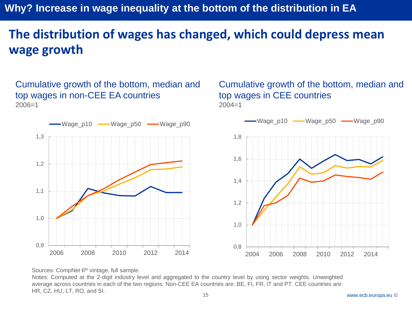# Why? Increase in wage inequality at the bottom of the distribution in EA

# **The distribution of wages has changed, which could depress mean wage growth**

Cumulative growth of the bottom, median and top wages in non-CEE EA countries 2006=1



 $2004=1$ 

Sources: CompNet 6<sup>th</sup> vintage, full sample.

15 www.ecb.europa.eu © Notes: Computed at the 2-digit industry level and aggregated to the country level by using sector weights. Unweighted average across countries in each of the two regions. Non-CEE EA countries are: BE, FI, FR, IT and PT. CEE countries are: HR, CZ, HU, LT, RO, and SI.

Cumulative growth of the bottom, median and

top wages in CEE countries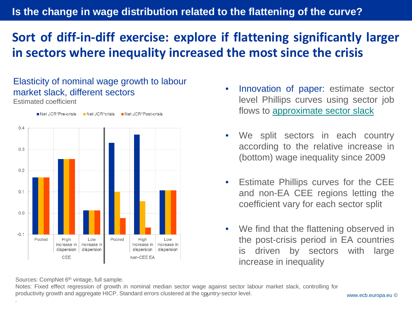#### <span id="page-15-0"></span>Is the change in wage distribution related to the flattening of the curve?

## **Sort of diff-in-diff exercise: explore if flattening significantly larger in sectors where inequality increased the most since the crisis**

#### Elasticity of nominal wage growth to labour market slack, different sectors

Estimated coefficient



- Innovation of paper: estimate sector level Phillips curves using sector job flows to [approximate](#page-35-0) sector slack
- We split sectors in each country according to the relative increase in (bottom) wage inequality since 2009
- Estimate Phillips curves for the CEE and non-EA CEE regions letting the coefficient vary for each sector split
- We find that the flattening observed in the post-crisis period in EA countries is driven by sectors with large increase in inequality

Sources: CompNet 6<sup>th</sup> vintage, full sample.

.

productivity growth and aggregate HICP. Standard errors clustered at the country-sector level. Notes: Fixed effect regression of growth in nominal median sector wage against sector labour market slack, controlling for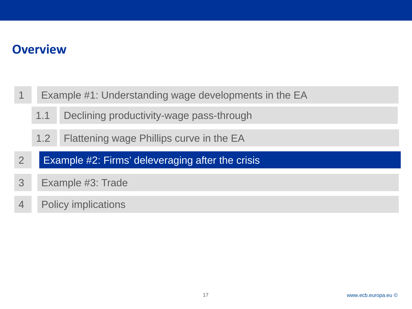### **Overview**

- Example #1: Understanding wage developments in the EA
	- 1.1 Declining productivity-wage pass-through
	- Flattening wage Phillips curve in the EA 1.2
- 2 Example #2: Firms' deleveraging after the crisis
- 3 Example #3: Trade
- 4 Policy implications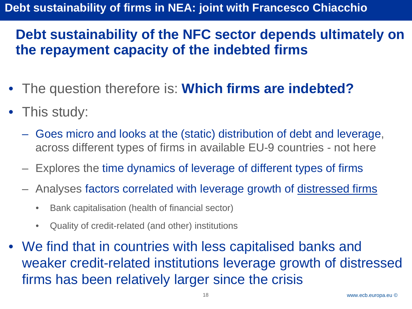# Debt sustainability of firms in NEA: joint with Francesco Chiacchio

# **Debt sustainability of the NFC sector depends ultimately on the repayment capacity of the indebted firms**

- The question therefore is: **Which firms are indebted?**
- This study:
	- Goes micro and looks at the (static) distribution of debt and leverage, across different types of firms in available EU-9 countries - not here
	- Explores the time dynamics of leverage of different types of firms
	- Analyses factors correlated with leverage growth of distressed firms
		- Bank capitalisation (health of financial sector)
		- Quality of credit-related (and other) institutions
- We find that in countries with less capitalised banks and weaker credit-related institutions leverage growth of distressed firms has been relatively larger since the crisis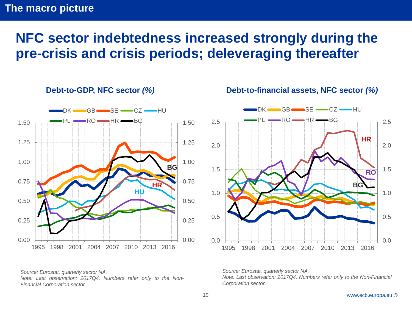### The macro picture

# **NFC sector indebtedness increased strongly during the pre-crisis and crisis periods; deleveraging thereafter**

**Debt-to-GDP, NFC sector** *(%)* **Debt-to-financial assets, NFC sector** *(%)*





*Source: Eurostat, quarterly sector NA.*

*Note: Last observation: 2017Q4. Numbers refer only to the Non-Financial Corporation sector.*

*Source: Eurostat, quarterly sector NA.*

*Note: Last observation: 2017Q4. Numbers refer only to the Non-Financial Corporation sector.*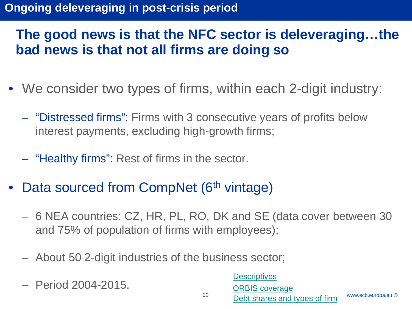# <span id="page-19-0"></span>**The good news is that the NFC sector is deleveraging…the bad news is that not all firms are doing so**

- We consider two types of firms, within each 2-digit industry:
	- "Distressed firms": Firms with 3 consecutive years of profits below interest payments, excluding high-growth firms;
	- "Healthy firms": Rest of firms in the sector.
- Data sourced from CompNet (6<sup>th</sup> vintage)
	- 6 NEA countries: CZ, HR, PL, RO, DK and SE (data cover between 30 and 75% of population of firms with employees);

20

- About 50 2-digit industries of the business sector;
- Period 2004-2015.

**[Descriptives](#page-37-0)** [ORBIS coverage](#page-38-0)

[Debt shares and types of firm](#page-36-0)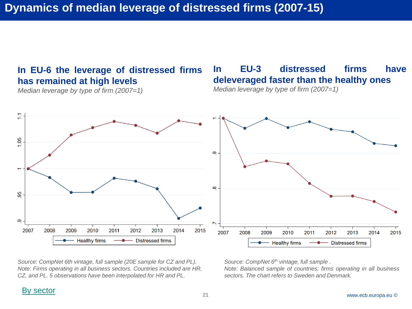#### **In EU-6 the leverage of distressed firms has remained at high levels**

*Median leverage by type of firm (2007=1)*

#### **In EU-3 distressed firms have deleveraged faster than the healthy ones**

*Median leverage by type of firm (2007=1)*



*Source: CompNet 6th vintage, full sample (20E sample for CZ and PL). Note: Firms operating in all business sectors. Countries included are HR, CZ, and PL. 5 observations have been interpolated for HR and PL.*

*Source: CompNet 6th vintage, full sample .*

*Note: Balanced sample of countries; firms operating in all business sectors. The chart refers to Sweden and Denmark.*

#### [By sector](#page-39-0)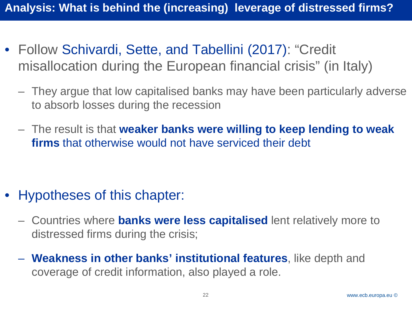- Follow Schivardi, Sette, and Tabellini (2017): "Credit misallocation during the European financial crisis" (in Italy)
	- They argue that low capitalised banks may have been particularly adverse to absorb losses during the recession
	- The result is that **weaker banks were willing to keep lending to weak firms** that otherwise would not have serviced their debt

- Hypotheses of this chapter:
	- Countries where **banks were less capitalised** lent relatively more to distressed firms during the crisis;
	- **Weakness in other banks' institutional features**, like depth and coverage of credit information, also played a role.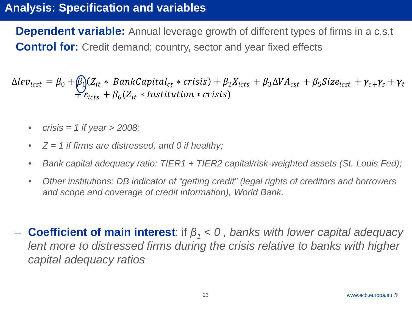# **Analysis: Specification and variables**

**Dependent variable:** Annual leverage growth of different types of firms in a c,s,t **Control for:** Credit demand; country, sector and year fixed effects

 $\Delta lev_{icst}=\beta_0+|\beta_1|(Z_{it}*BankCapital_{ct}*crisis)+\beta_2X_{icts}+\beta_3\Delta VA_{cst}+\beta_5Size_{icst}+\gamma_{c+}\gamma_s+\gamma_t$  $+ \varepsilon_{\text{icts}} + \beta_6(Z_{it} * \text{Institution} * \text{criss})$ 

- *crisis = 1 if year > 2008;*
- *Z = 1 if firms are distressed, and 0 if healthy;*
- *Bank capital adequacy ratio: TIER1 + TIER2 capital/risk-weighted assets (St. Louis Fed);*
- *Other institutions: DB indicator of "getting credit" (legal rights of creditors and borrowers and scope and coverage of credit information), World Bank.*
- **Coefficient of main interest**: if *β<sup>1</sup> < 0 , banks with lower capital adequacy lent more to distressed firms during the crisis relative to banks with higher capital adequacy ratios*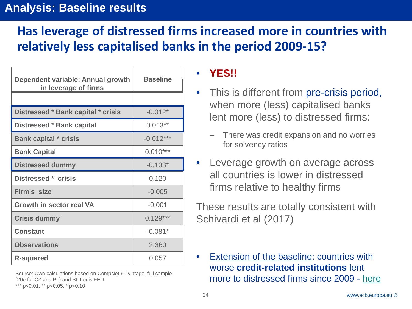## **Has leverage of distressed firms increased more in countries with relatively less capitalised banks in the period 2009-15?**

| Dependent variable: Annual growth<br>in leverage of firms | <b>Baseline</b> |  |
|-----------------------------------------------------------|-----------------|--|
|                                                           |                 |  |
| Distressed * Bank capital * crisis                        | $-0.012*$       |  |
| <b>Distressed * Bank capital</b>                          | $0.013**$       |  |
| <b>Bank capital * crisis</b>                              | $-0.012***$     |  |
| <b>Bank Capital</b>                                       | $0.010***$      |  |
| <b>Distressed dummy</b>                                   | $-0.133*$       |  |
| Distressed * crisis                                       | 0.120           |  |
| Firm's size                                               | $-0.005$        |  |
| <b>Growth in sector real VA</b>                           | $-0.001$        |  |
| <b>Crisis dummy</b>                                       | $0.129***$      |  |
| <b>Constant</b>                                           | $-0.081*$       |  |
| <b>Observations</b>                                       | 2,360           |  |
| <b>R-squared</b>                                          | 0.057           |  |

Source: Own calculations based on CompNet 6<sup>th</sup> vintage, full sample (20e for CZ and PL) and St. Louis FED. \*\*\* p<0.01, \*\* p<0.05, \* p<0.10

#### • **YES!!**

- This is different from pre-crisis period, when more (less) capitalised banks lent more (less) to distressed firms:
	- There was credit expansion and no worries for solvency ratios
- Leverage growth on average across all countries is lower in distressed firms relative to healthy firms

These results are totally consistent with Schivardi et al (2017)

Extension of the baseline: countries with worse **credit-related institutions** lent more to distressed firms since 2009 - [here](#page-40-0)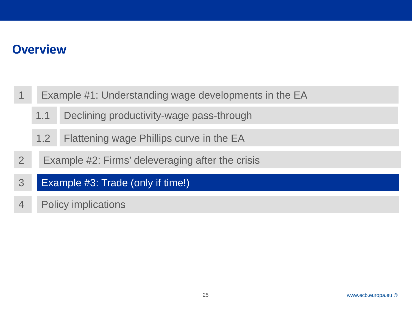### **Overview**

- Example #1: Understanding wage developments in the EA
	- 1.1 Declining productivity-wage pass-through
	- Flattening wage Phillips curve in the EA 1.2
- 2 Example #2: Firms' deleveraging after the crisis
- 3 Example #3: Trade (only if time!)
- 4 Policy implications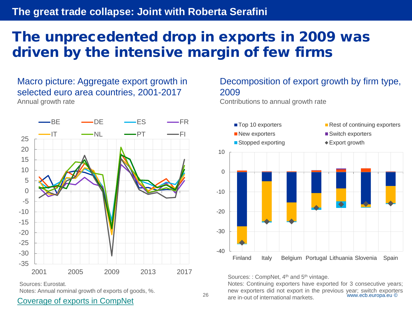# The unprecedented drop in exports in 2009 was driven by the intensive margin of few firms



Macro picture: Aggregate export growth in selected euro area countries, 2001-2017

Sources: Eurostat.

Notes: Annual nominal growth of exports of goods, %.

#### are in-out of international markets. [Coverage of exports in CompNet](#page-35-0)

#### Decomposition of export growth by firm type, 2009

Contributions to annual growth rate



Sources: : CompNet, 4<sup>th</sup> and 5<sup>th</sup> vintage.

new exporters did not export in the previous year; switch exporters<br>are in-out of international markets www.ecb.europa.eu © Notes: Continuing exporters have exported for 3 consecutive years;

26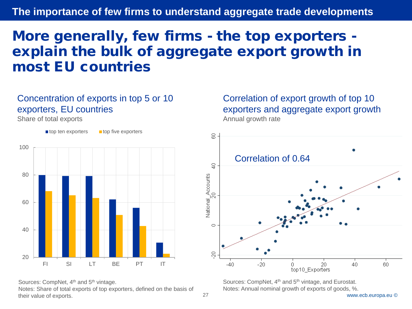The importance of few firms to understand aggregate trade developments

# More generally, few firms - the top exporters explain the bulk of aggregate export growth in most EU countries

#### Concentration of exports in top 5 or 10 exporters, EU countries

Share of total exports



Sources: CompNet, 4<sup>th</sup> and 5<sup>th</sup> vintage.

Notes: Share of total exports of top exporters, defined on the basis of their value of exports.

Correlation of export growth of top 10 exporters and aggregate export growth Annual growth rate



Sources: CompNet, 4<sup>th</sup> and 5<sup>th</sup> vintage, and Eurostat. Notes: Annual nominal growth of exports of goods, %.

27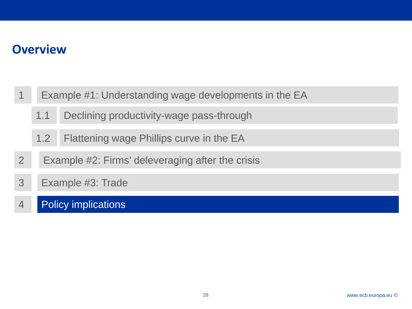### **Overview**

- Example #1: Understanding wage developments in the EA
	- 1.1 Declining productivity-wage pass-through
	- Flattening wage Phillips curve in the EA 1.2
- 2 Example #2: Firms' deleveraging after the crisis
- 3 Example #3: Trade
- 4 Policy implications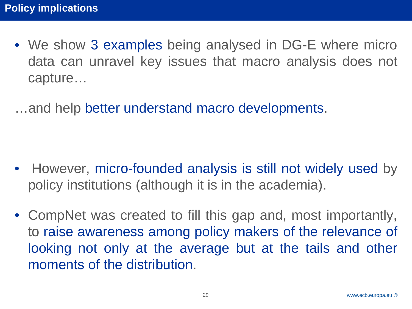• We show 3 examples being analysed in DG-E where micro data can unravel key issues that macro analysis does not capture…

…and help better understand macro developments.

- However, micro-founded analysis is still not widely used by policy institutions (although it is in the academia).
- CompNet was created to fill this gap and, most importantly, to raise awareness among policy makers of the relevance of looking not only at the average but at the tails and other moments of the distribution.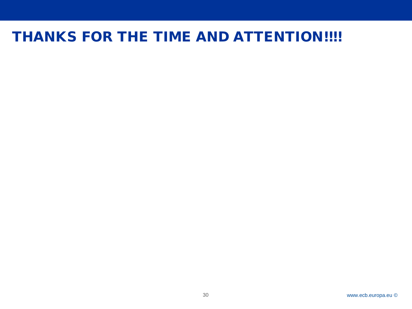# THANKS FOR THE TIME AND ATTENTION!!!!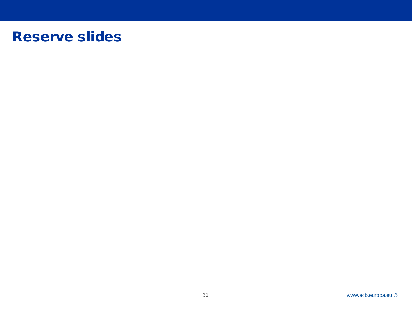# Reserve slides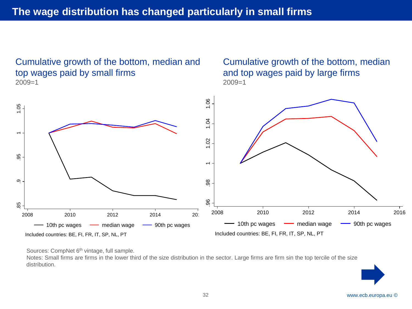<span id="page-31-0"></span>Cumulative growth of the bottom, median and top wages paid by small firms  $2009=1$ 

Cumulative growth of the bottom, median and top wages paid by large firms 2009=1



Sources: CompNet 6<sup>th</sup> vintage, full sample.

Notes: Small firms are firms in the lower third of the size distribution in the sector. Large firms are firm sin the top tercile of the size distribution.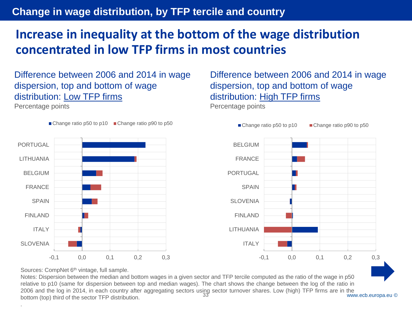### **Change in wage distribution, by TFP tercile and country**

## **Increase in inequality at the bottom of the wage distribution concentrated in low TFP firms in most countries**

Difference between 2006 and 2014 in wage

dispersion, top and bottom of wage

distribution: High TFP firms

Percentage points

Difference between 2006 and 2014 in wage dispersion, top and bottom of wage distribution: Low TFP firms

Percentage points



Sources: CompNet 6<sup>th</sup> vintage, full sample.

.

2006 and the log in 2014, in each country after aggregating sectors using sector turnover shares. Low (high) TFP firms are in the<br>www.combination.com/highting/sector TEP distribution Notes: Dispersion between the median and bottom wages in a given sector and TFP tercile computed as the ratio of the wage in p50 relative to p10 (same for dispersion between top and median wages). The chart shows the change between the log of the ratio in bottom (top) third of the sector TFP distribution.

www.ecb.europa.eu ©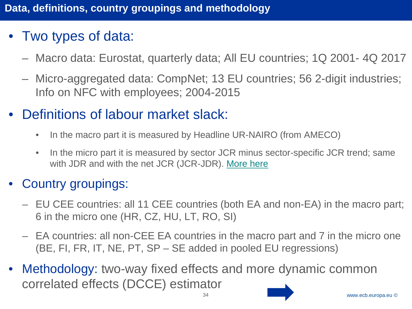# <span id="page-33-0"></span>• Two types of data:

- Macro data: Eurostat, quarterly data; All EU countries; 1Q 2001- 4Q 2017
- Micro-aggregated data: CompNet; 13 EU countries; 56 2-digit industries; Info on NFC with employees; 2004-2015

# • Definitions of labour market slack:

- In the macro part it is measured by Headline UR-NAIRO (from AMECO)
- In the micro part it is measured by sector JCR minus sector-specific JCR trend; same with JDR and with the net JCR (JCR-JDR). [More here](#page-15-0)

### • Country groupings:

- EU CEE countries: all 11 CEE countries (both EA and non-EA) in the macro part; 6 in the micro one (HR, CZ, HU, LT, RO, SI)
- EA countries: all non-CEE EA countries in the macro part and 7 in the micro one (BE, FI, FR, IT, NE, PT, SP – SE added in pooled EU regressions)
- Methodology: two-way fixed effects and more dynamic common correlated effects (DCCE) estimator

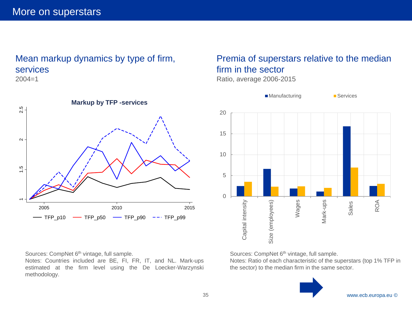### Mean markup dynamics by type of firm, services

2004=1



#### Premia of superstars relative to the median firm in the sector

Ratio, average 2006-2015



Sources: CompNet 6<sup>th</sup> vintage, full sample.

Notes: Countries included are BE, FI, FR, IT, and NL. Mark-ups estimated at the firm level using the De Loecker-Warzynski methodology.

Sources: CompNet 6<sup>th</sup> vintage, full sample.

Notes: Ratio of each characteristic of the superstars (top 1% TFP in the sector) to the median firm in the same sector.

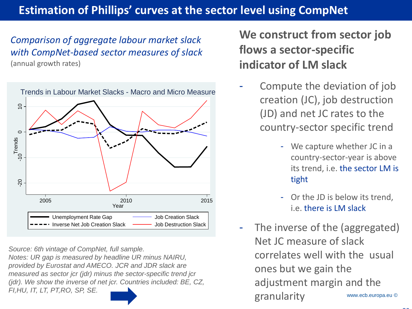### <span id="page-35-0"></span>**Estimation of Phillips' curves at the sector level using CompNet**

*Comparison of aggregate labour market slack with CompNet-based sector measures of slack* (annual growth rates)



*Source: 6th vintage of CompNet, full sample.*

*Notes: UR gap is measured by headline UR minus NAIRU, provided by Eurostat and AMECO. JCR and JDR slack are measured as sector jcr (jdr) minus the sector-specific trend jcr (jdr). We show the inverse of net jcr. Countries included: BE, CZ, FI,HU, IT, LT, PT,RO, SP, SE.* 

**We construct from sector job flows a sector-specific indicator of LM slack**

- Compute the deviation of job creation (JC), job destruction (JD) and net JC rates to the country-sector specific trend
	- We capture whether JC in a country-sector-year is above its trend, i.e. the sector LM is tight
	- Or the JD is below its trend, i.e. there is LM slack
- www.ecb.europa.eu © The inverse of the (aggregated) Net JC measure of slack correlates well with the usual ones but we gain the adjustment margin and the granularity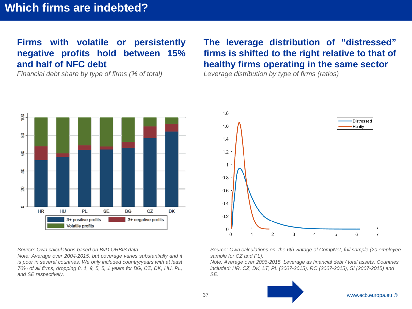#### <span id="page-36-0"></span>**Firms with volatile or persistently negative profits hold between 15% and half of NFC debt**

*Financial debt share by type of firms (% of total)*

#### **The leverage distribution of "distressed" firms is shifted to the right relative to that of healthy firms operating in the same sector**

*Leverage distribution by type of firms (ratios)*



*Source: Own calculations based on BvD ORBIS data.*

*Note: Average over 2004-2015, but coverage varies substantially and it is poor in several countries. We only included country/years with at least 70% of all firms, dropping 8, 1, 9, 5, 5, 1 years for BG, CZ, DK, HU, PL, and SE respectively.*



*Source: Own calculations on the 6th vintage of CompNet, full sample (20 employee sample for CZ and PL).*

*Note: Average over 2006-2015. Leverage as financial debt / total assets. Countries included: HR, CZ, DK, LT, PL (2007-2015), RO (2007-2015), SI (2007-2015) and SE.*



#### 37 www.ecb.europa.eu ©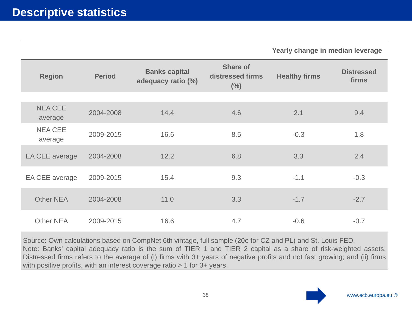**Yearly change in median leverage**

<span id="page-37-0"></span>

| <b>Region</b>             | <b>Period</b> | <b>Banks capital</b><br>adequacy ratio (%) | <b>Share of</b><br>distressed firms<br>$(\%)$ | <b>Healthy firms</b> | <b>Distressed</b><br>firms |
|---------------------------|---------------|--------------------------------------------|-----------------------------------------------|----------------------|----------------------------|
|                           |               |                                            |                                               |                      |                            |
| <b>NEA CEE</b><br>average | 2004-2008     | 14.4                                       | 4.6                                           | 2.1                  | 9.4                        |
| <b>NEA CEE</b><br>average | 2009-2015     | 16.6                                       | 8.5                                           | $-0.3$               | 1.8                        |
| EA CEE average            | 2004-2008     | 12.2                                       | 6.8                                           | 3.3                  | 2.4                        |
| EA CEE average            | 2009-2015     | 15.4                                       | 9.3                                           | $-1.1$               | $-0.3$                     |
| <b>Other NEA</b>          | 2004-2008     | 11.0                                       | 3.3                                           | $-1.7$               | $-2.7$                     |
| <b>Other NEA</b>          | 2009-2015     | 16.6                                       | 4.7                                           | $-0.6$               | $-0.7$                     |

Source: Own calculations based on CompNet 6th vintage, full sample (20e for CZ and PL) and St. Louis FED. Note: Banks' capital adequacy ratio is the sum of TIER 1 and TIER 2 capital as a share of risk-weighted assets. Distressed firms refers to the average of (i) firms with 3+ years of negative profits and not fast growing; and (ii) firms with positive profits, with an interest coverage ratio > 1 for 3+ years.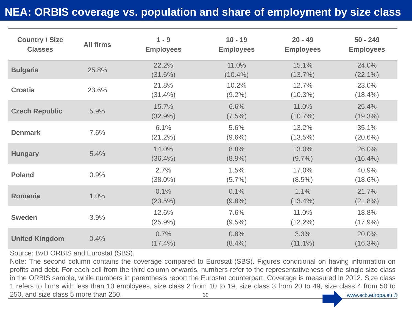### <span id="page-38-0"></span>**NEA: ORBIS coverage vs. population and share of employment by size class**

| <b>Country \ Size</b><br><b>Classes</b> | <b>All firms</b> | $1 - 9$<br><b>Employees</b> | $10 - 19$<br><b>Employees</b> | $20 - 49$<br><b>Employees</b> | $50 - 249$<br><b>Employees</b> |
|-----------------------------------------|------------------|-----------------------------|-------------------------------|-------------------------------|--------------------------------|
| <b>Bulgaria</b>                         | 25.8%            | 22.2%<br>(31.6%)            | 11.0%<br>$(10.4\%)$           | 15.1%<br>(13.7%)              | 24.0%<br>$(22.1\%)$            |
| <b>Croatia</b>                          | 23.6%            | 21.8%<br>$(31.4\%)$         | 10.2%<br>$(9.2\%)$            | 12.7%<br>$(10.3\%)$           | 23.0%<br>$(18.4\%)$            |
| <b>Czech Republic</b>                   | 5.9%             | 15.7%<br>(32.9%)            | 6.6%<br>(7.5%)                | 11.0%<br>$(10.7\%)$           | 25.4%<br>$(19.3\%)$            |
| <b>Denmark</b>                          | 7.6%             | 6.1%<br>(21.2%)             | 5.6%<br>$(9.6\%)$             | 13.2%<br>$(13.5\%)$           | 35.1%<br>(20.6%)               |
| <b>Hungary</b>                          | 5.4%             | 14.0%<br>$(36.4\%)$         | 8.8%<br>$(8.9\%)$             | 13.0%<br>$(9.7\%)$            | 26.0%<br>$(16.4\%)$            |
| <b>Poland</b>                           | 0.9%             | 2.7%<br>$(38.0\%)$          | 1.5%<br>$(5.7\%)$             | 17.0%<br>$(8.5\%)$            | 40.9%<br>$(18.6\%)$            |
| Romania                                 | 1.0%             | 0.1%<br>(23.5%)             | 0.1%<br>$(9.8\%)$             | 1.1%<br>$(13.4\%)$            | 21.7%<br>(21.8%)               |
| <b>Sweden</b>                           | 3.9%             | 12.6%<br>$(25.9\%)$         | 7.6%<br>$(9.5\%)$             | 11.0%<br>$(12.2\%)$           | 18.8%<br>$(17.9\%)$            |
| <b>United Kingdom</b>                   | 0.4%             | 0.7%<br>$(17.4\%)$          | 0.8%<br>$(8.4\%)$             | 3.3%<br>$(11.1\%)$            | 20.0%<br>(16.3%)               |

Source: BvD ORBIS and Eurostat (SBS).

www.ecb.europa.eu © 39 Note: The second column contains the coverage compared to Eurostat (SBS). Figures conditional on having information on profits and debt. For each cell from the third column onwards, numbers refer to the representativeness of the single size class in the ORBIS sample, while numbers in parenthesis report the Eurostat counterpart. Coverage is measured in 2012. Size class 1 refers to firms with less than 10 employees, size class 2 from 10 to 19, size class 3 from 20 to 49, [size](#page-19-0) class 4 from 50 to 250, and size class 5 more than 250.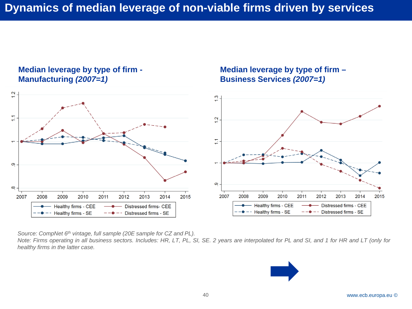#### <span id="page-39-0"></span>**Median leverage by type of firm - Manufacturing** *(2007=1)*



*Source: CompNet 6th vintage, full sample (20E sample for CZ and PL).*

Note: Firms operating in all business sectors. Includes: HR, LT, PL, SI, SE. 2 years are interpolated for PL and SI, and 1 for HR and LT (only for *healthy firms in the latter case.*



**Median leverage by type of firm –**

**Business Services** *(2007=1)*